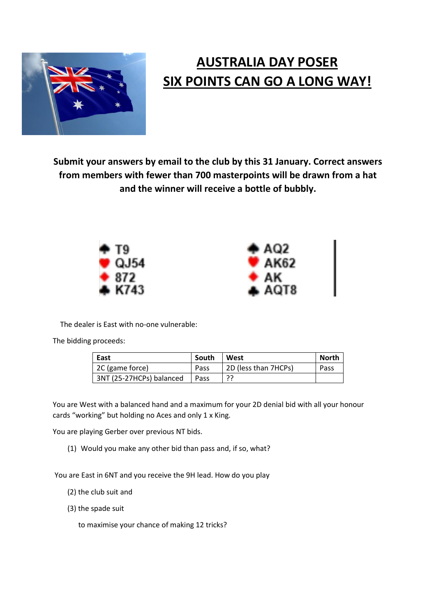

## **AUSTRALIA DAY POSER SIX POINTS CAN GO A LONG WAY!**

**Submit your answers by email to the club by this 31 January. Correct answers from members with fewer than 700 masterpoints will be drawn from a hat and the winner will receive a bottle of bubbly.**



The dealer is East with no-one vulnerable:

The bidding proceeds:

| East                     | South | West                 | North |
|--------------------------|-------|----------------------|-------|
| 2C (game force)          | Pass  | 2D (less than 7HCPs) | Pass  |
| 3NT (25-27HCPs) balanced | Pass  |                      |       |

You are West with a balanced hand and a maximum for your 2D denial bid with all your honour cards "working" but holding no Aces and only 1 x King.

You are playing Gerber over previous NT bids.

(1) Would you make any other bid than pass and, if so, what?

You are East in 6NT and you receive the 9H lead. How do you play

- (2) the club suit and
- (3) the spade suit

to maximise your chance of making 12 tricks?